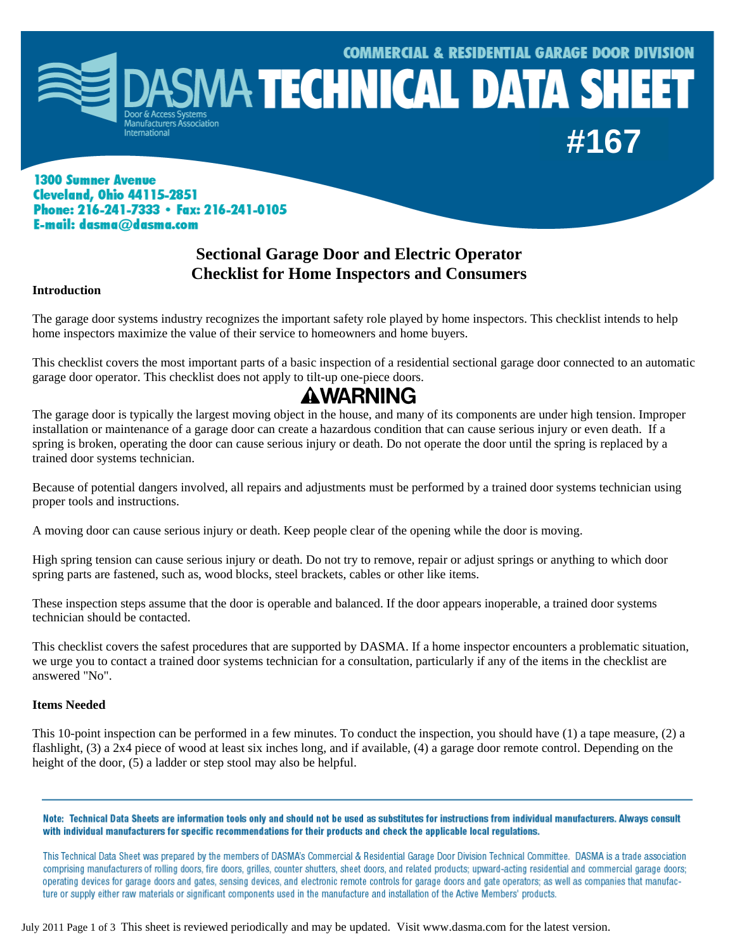

### **1300 Sumner Avenue Cleveland, Ohio 44115-2851** Phone: 216-241-7333 · Fax: 216-241-0105 E-mail: dasma@dasma.com

### **Sectional Garage Door and Electric Operator Checklist for Home Inspectors and Consumers**

### **Introduction**

The garage door systems industry recognizes the important safety role played by home inspectors. This checklist intends to help home inspectors maximize the value of their service to homeowners and home buyers.

This checklist covers the most important parts of a basic inspection of a residential sectional garage door connected to an automatic garage door operator. This checklist does not apply to tilt-up one-piece doors.

# **AWARNING**

The garage door is typically the largest moving object in the house, and many of its components are under high tension. Improper installation or maintenance of a garage door can create a hazardous condition that can cause serious injury or even death. If a spring is broken, operating the door can cause serious injury or death. Do not operate the door until the spring is replaced by a trained door systems technician.

Because of potential dangers involved, all repairs and adjustments must be performed by a trained door systems technician using proper tools and instructions.

A moving door can cause serious injury or death. Keep people clear of the opening while the door is moving.

High spring tension can cause serious injury or death. Do not try to remove, repair or adjust springs or anything to which door spring parts are fastened, such as, wood blocks, steel brackets, cables or other like items.

These inspection steps assume that the door is operable and balanced. If the door appears inoperable, a trained door systems technician should be contacted.

This checklist covers the safest procedures that are supported by DASMA. If a home inspector encounters a problematic situation, we urge you to contact a trained door systems technician for a consultation, particularly if any of the items in the checklist are answered "No".

### **Items Needed**

This 10-point inspection can be performed in a few minutes. To conduct the inspection, you should have (1) a tape measure, (2) a flashlight, (3) a 2x4 piece of wood at least six inches long, and if available, (4) a garage door remote control. Depending on the height of the door, (5) a ladder or step stool may also be helpful.

Note: Technical Data Sheets are information tools only and should not be used as substitutes for instructions from individual manufacturers. Always consult with individual manufacturers for specific recommendations for their products and check the applicable local regulations.

This Technical Data Sheet was prepared by the members of DASMA's Commercial & Residential Garage Door Division Technical Committee. DASMA is a trade association comprising manufacturers of rolling doors, fire doors, grilles, counter shutters, sheet doors, and related products; upward-acting residential and commercial garage doors; operating devices for garage doors and gates, sensing devices, and electronic remote controls for garage doors and gate operators; as well as companies that manufacture or supply either raw materials or significant components used in the manufacture and installation of the Active Members' products.

July 2011 Page 1 of 3 This sheet is reviewed periodically and may be updated. Visit www.dasma.com for the latest version.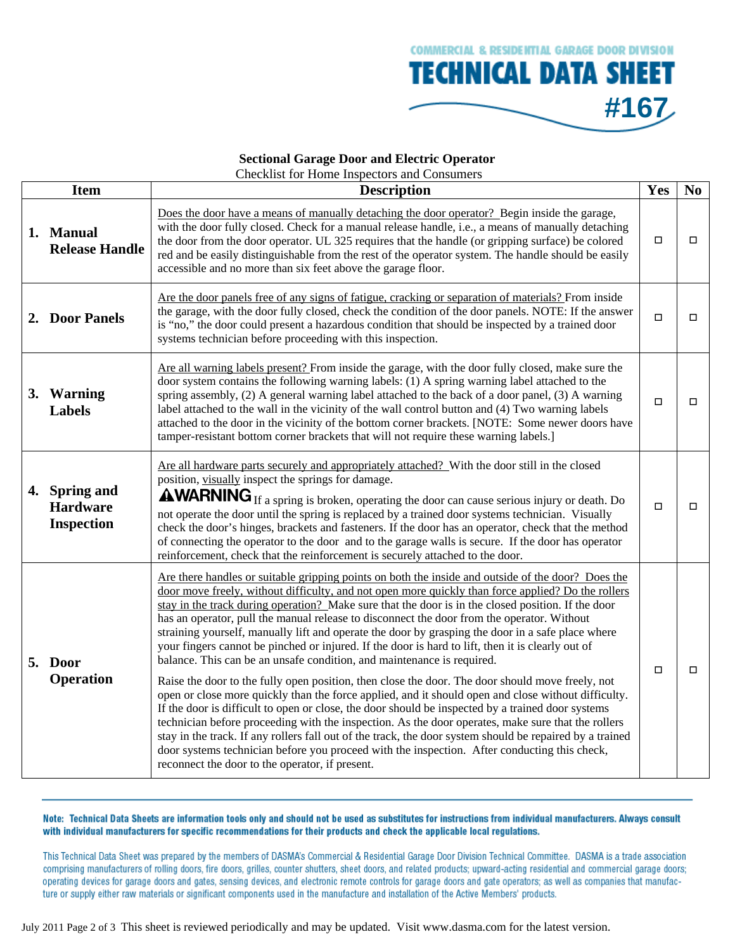

#### **Sectional Garage Door and Electric Operator**  Checklist for Home Inspectors and Consumers

|    | <b>Item</b>                                               | Alecking for Tionic Inspectors and Consumers<br><b>Description</b>                                                                                                                                                                                                                                                                                                                                                                                                                                                                                                                                                                                                                                                                                                                                                                                                                                                                                                                                                                                                                                                                                                                                                                                                                                                                                                                    | Yes    | $\mathbf{N}\mathbf{0}$ |
|----|-----------------------------------------------------------|---------------------------------------------------------------------------------------------------------------------------------------------------------------------------------------------------------------------------------------------------------------------------------------------------------------------------------------------------------------------------------------------------------------------------------------------------------------------------------------------------------------------------------------------------------------------------------------------------------------------------------------------------------------------------------------------------------------------------------------------------------------------------------------------------------------------------------------------------------------------------------------------------------------------------------------------------------------------------------------------------------------------------------------------------------------------------------------------------------------------------------------------------------------------------------------------------------------------------------------------------------------------------------------------------------------------------------------------------------------------------------------|--------|------------------------|
|    | 1. Manual<br><b>Release Handle</b>                        | Does the door have a means of manually detaching the door operator? Begin inside the garage,<br>with the door fully closed. Check for a manual release handle, i.e., a means of manually detaching<br>the door from the door operator. UL 325 requires that the handle (or gripping surface) be colored<br>red and be easily distinguishable from the rest of the operator system. The handle should be easily<br>accessible and no more than six feet above the garage floor.                                                                                                                                                                                                                                                                                                                                                                                                                                                                                                                                                                                                                                                                                                                                                                                                                                                                                                        | □      | □                      |
|    | 2. Door Panels                                            | Are the door panels free of any signs of fatigue, cracking or separation of materials? From inside<br>the garage, with the door fully closed, check the condition of the door panels. NOTE: If the answer<br>is "no," the door could present a hazardous condition that should be inspected by a trained door<br>systems technician before proceeding with this inspection.                                                                                                                                                                                                                                                                                                                                                                                                                                                                                                                                                                                                                                                                                                                                                                                                                                                                                                                                                                                                           | $\Box$ | □                      |
|    | 3. Warning<br><b>Labels</b>                               | Are all warning labels present? From inside the garage, with the door fully closed, make sure the<br>door system contains the following warning labels: (1) A spring warning label attached to the<br>spring assembly, (2) A general warning label attached to the back of a door panel, (3) A warning<br>label attached to the wall in the vicinity of the wall control button and (4) Two warning labels<br>attached to the door in the vicinity of the bottom corner brackets. [NOTE: Some newer doors have<br>tamper-resistant bottom corner brackets that will not require these warning labels.]                                                                                                                                                                                                                                                                                                                                                                                                                                                                                                                                                                                                                                                                                                                                                                                | □      | □                      |
| 4. | <b>Spring and</b><br><b>Hardware</b><br><b>Inspection</b> | Are all hardware parts securely and appropriately attached? With the door still in the closed<br>position, visually inspect the springs for damage.<br><b>AWARNING</b> If a spring is broken, operating the door can cause serious injury or death. Do<br>not operate the door until the spring is replaced by a trained door systems technician. Visually<br>check the door's hinges, brackets and fasteners. If the door has an operator, check that the method<br>of connecting the operator to the door and to the garage walls is secure. If the door has operator<br>reinforcement, check that the reinforcement is securely attached to the door.                                                                                                                                                                                                                                                                                                                                                                                                                                                                                                                                                                                                                                                                                                                              | п      | п                      |
|    | 5. Door<br><b>Operation</b>                               | Are there handles or suitable gripping points on both the inside and outside of the door? Does the<br>door move freely, without difficulty, and not open more quickly than force applied? Do the rollers<br>stay in the track during operation? Make sure that the door is in the closed position. If the door<br>has an operator, pull the manual release to disconnect the door from the operator. Without<br>straining yourself, manually lift and operate the door by grasping the door in a safe place where<br>your fingers cannot be pinched or injured. If the door is hard to lift, then it is clearly out of<br>balance. This can be an unsafe condition, and maintenance is required.<br>Raise the door to the fully open position, then close the door. The door should move freely, not<br>open or close more quickly than the force applied, and it should open and close without difficulty.<br>If the door is difficult to open or close, the door should be inspected by a trained door systems<br>technician before proceeding with the inspection. As the door operates, make sure that the rollers<br>stay in the track. If any rollers fall out of the track, the door system should be repaired by a trained<br>door systems technician before you proceed with the inspection. After conducting this check,<br>reconnect the door to the operator, if present. | О      | $\Box$                 |

Note: Technical Data Sheets are information tools only and should not be used as substitutes for instructions from individual manufacturers. Always consult with individual manufacturers for specific recommendations for their products and check the applicable local regulations.

This Technical Data Sheet was prepared by the members of DASMA's Commercial & Residential Garage Door Division Technical Committee. DASMA is a trade association comprising manufacturers of rolling doors, fire doors, grilles, counter shutters, sheet doors, and related products; upward-acting residential and commercial garage doors; operating devices for garage doors and gates, sensing devices, and electronic remote controls for garage doors and gate operators; as well as companies that manufacture or supply either raw materials or significant components used in the manufacture and installation of the Active Members' products.

July 2011 Page 2 of 3 This sheet is reviewed periodically and may be updated. Visit www.dasma.com for the latest version.